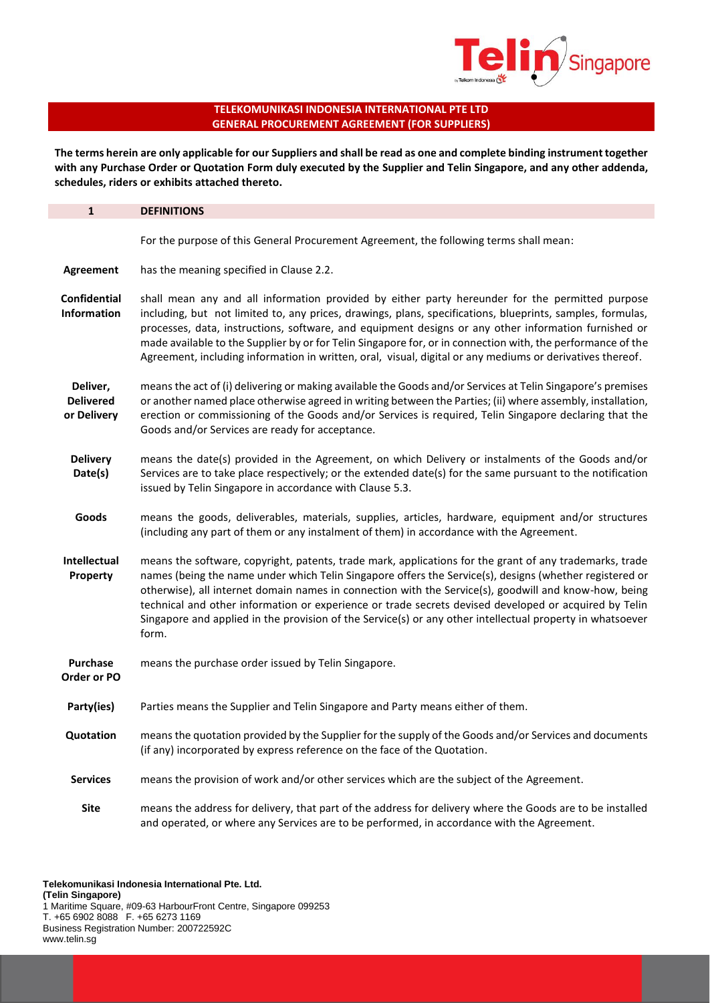

# **TELEKOMUNIKASI INDONESIA INTERNATIONAL PTE LTD GENERAL PROCUREMENT AGREEMENT (FOR SUPPLIERS)**

l,

**The terms herein are only applicable for our Suppliers and shall be read as one and complete binding instrument together with any Purchase Order or Quotation Form duly executed by the Supplier and Telin Singapore, and any other addenda, schedules, riders or exhibits attached thereto.** 

| $\mathbf{1}$                                | <b>DEFINITIONS</b>                                                                                                                                                                                                                                                                                                                                                                                                                                                                                                                                         |
|---------------------------------------------|------------------------------------------------------------------------------------------------------------------------------------------------------------------------------------------------------------------------------------------------------------------------------------------------------------------------------------------------------------------------------------------------------------------------------------------------------------------------------------------------------------------------------------------------------------|
|                                             | For the purpose of this General Procurement Agreement, the following terms shall mean:                                                                                                                                                                                                                                                                                                                                                                                                                                                                     |
| Agreement                                   | has the meaning specified in Clause 2.2.                                                                                                                                                                                                                                                                                                                                                                                                                                                                                                                   |
| <b>Confidential</b><br><b>Information</b>   | shall mean any and all information provided by either party hereunder for the permitted purpose<br>including, but not limited to, any prices, drawings, plans, specifications, blueprints, samples, formulas,<br>processes, data, instructions, software, and equipment designs or any other information furnished or<br>made available to the Supplier by or for Telin Singapore for, or in connection with, the performance of the<br>Agreement, including information in written, oral, visual, digital or any mediums or derivatives thereof.          |
| Deliver,<br><b>Delivered</b><br>or Delivery | means the act of (i) delivering or making available the Goods and/or Services at Telin Singapore's premises<br>or another named place otherwise agreed in writing between the Parties; (ii) where assembly, installation,<br>erection or commissioning of the Goods and/or Services is required, Telin Singapore declaring that the<br>Goods and/or Services are ready for acceptance.                                                                                                                                                                     |
| <b>Delivery</b><br>Date(s)                  | means the date(s) provided in the Agreement, on which Delivery or instalments of the Goods and/or<br>Services are to take place respectively; or the extended date(s) for the same pursuant to the notification<br>issued by Telin Singapore in accordance with Clause 5.3.                                                                                                                                                                                                                                                                                |
| Goods                                       | means the goods, deliverables, materials, supplies, articles, hardware, equipment and/or structures<br>(including any part of them or any instalment of them) in accordance with the Agreement.                                                                                                                                                                                                                                                                                                                                                            |
| Intellectual<br>Property                    | means the software, copyright, patents, trade mark, applications for the grant of any trademarks, trade<br>names (being the name under which Telin Singapore offers the Service(s), designs (whether registered or<br>otherwise), all internet domain names in connection with the Service(s), goodwill and know-how, being<br>technical and other information or experience or trade secrets devised developed or acquired by Telin<br>Singapore and applied in the provision of the Service(s) or any other intellectual property in whatsoever<br>form. |
| Purchase<br>Order or PO                     | means the purchase order issued by Telin Singapore.                                                                                                                                                                                                                                                                                                                                                                                                                                                                                                        |
| Party(ies)                                  | Parties means the Supplier and Telin Singapore and Party means either of them.                                                                                                                                                                                                                                                                                                                                                                                                                                                                             |
| Quotation                                   | means the quotation provided by the Supplier for the supply of the Goods and/or Services and documents<br>(if any) incorporated by express reference on the face of the Quotation.                                                                                                                                                                                                                                                                                                                                                                         |
| <b>Services</b>                             | means the provision of work and/or other services which are the subject of the Agreement.                                                                                                                                                                                                                                                                                                                                                                                                                                                                  |
| Site                                        | means the address for delivery, that part of the address for delivery where the Goods are to be installed<br>and operated, or where any Services are to be performed, in accordance with the Agreement.                                                                                                                                                                                                                                                                                                                                                    |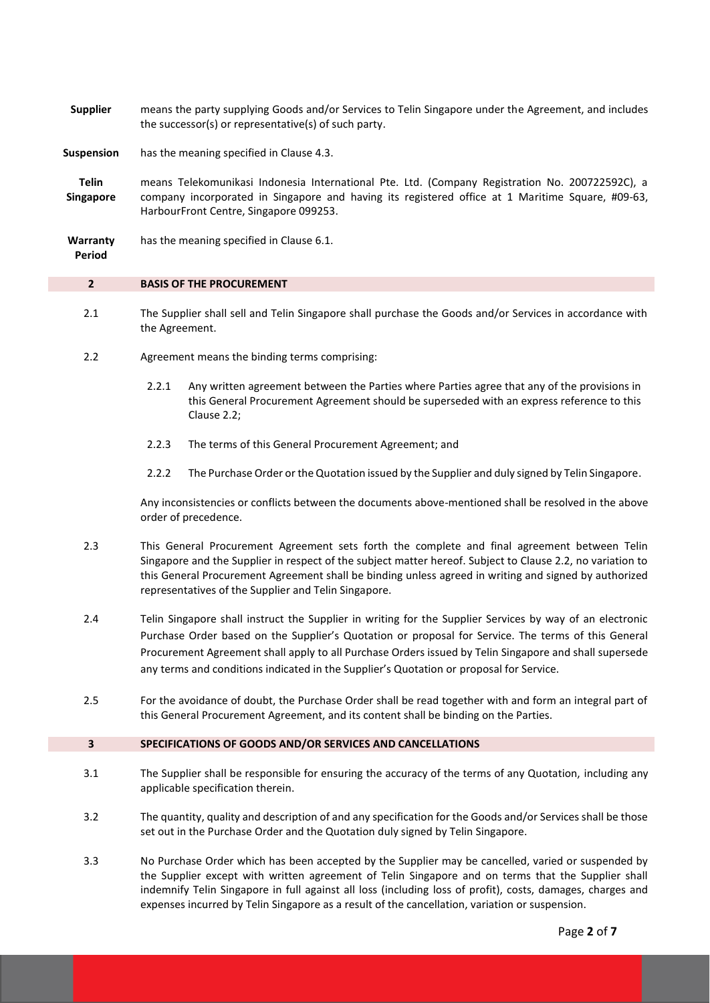**Supplier** means the party supplying Goods and/or Services to Telin Singapore under the Agreement, and includes the successor(s) or representative(s) of such party.

**Suspension** has the meaning specified in Clause 4.3.

**Telin Singapore** means Telekomunikasi Indonesia International Pte. Ltd. (Company Registration No. 200722592C), a company incorporated in Singapore and having its registered office at 1 Maritime Square, #09-63, HarbourFront Centre, Singapore 099253.

**Warranty**  has the meaning specified in Clause 6.1.

**Period**

#### **2 BASIS OF THE PROCUREMENT**

- 2.1 The Supplier shall sell and Telin Singapore shall purchase the Goods and/or Services in accordance with the Agreement.
- 2.2 Agreement means the binding terms comprising:
	- 2.2.1 Any written agreement between the Parties where Parties agree that any of the provisions in this General Procurement Agreement should be superseded with an express reference to this Clause 2.2;
	- 2.2.3 The terms of this General Procurement Agreement; and
	- 2.2.2 The Purchase Order or the Quotation issued by the Supplier and duly signed by Telin Singapore.

Any inconsistencies or conflicts between the documents above-mentioned shall be resolved in the above order of precedence.

- 2.3 This General Procurement Agreement sets forth the complete and final agreement between Telin Singapore and the Supplier in respect of the subject matter hereof. Subject to Clause 2.2, no variation to this General Procurement Agreement shall be binding unless agreed in writing and signed by authorized representatives of the Supplier and Telin Singapore.
- 2.4 Telin Singapore shall instruct the Supplier in writing for the Supplier Services by way of an electronic Purchase Order based on the Supplier's Quotation or proposal for Service. The terms of this General Procurement Agreement shall apply to all Purchase Orders issued by Telin Singapore and shall supersede any terms and conditions indicated in the Supplier's Quotation or proposal for Service.
- 2.5 For the avoidance of doubt, the Purchase Order shall be read together with and form an integral part of this General Procurement Agreement, and its content shall be binding on the Parties.

## **3 SPECIFICATIONS OF GOODS AND/OR SERVICES AND CANCELLATIONS**

- 3.1 The Supplier shall be responsible for ensuring the accuracy of the terms of any Quotation, including any applicable specification therein.
- 3.2 The quantity, quality and description of and any specification for the Goods and/or Services shall be those set out in the Purchase Order and the Quotation duly signed by Telin Singapore.
- 3.3 No Purchase Order which has been accepted by the Supplier may be cancelled, varied or suspended by the Supplier except with written agreement of Telin Singapore and on terms that the Supplier shall indemnify Telin Singapore in full against all loss (including loss of profit), costs, damages, charges and expenses incurred by Telin Singapore as a result of the cancellation, variation or suspension.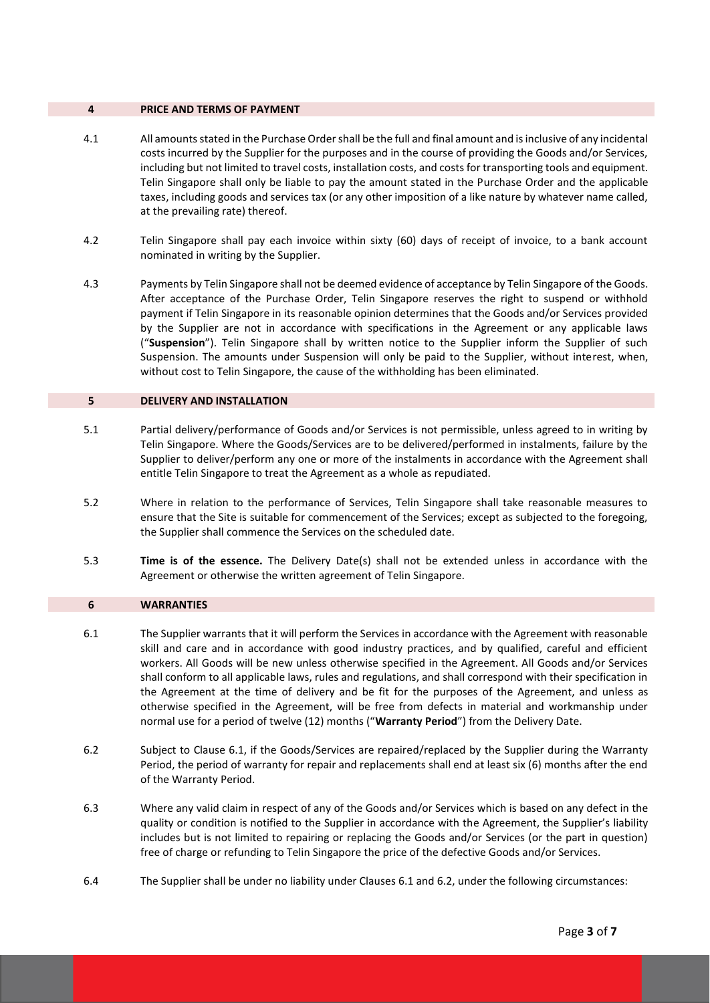## **4 PRICE AND TERMS OF PAYMENT**

- 4.1 All amounts stated in the Purchase Ordershall be the full and final amount and is inclusive of any incidental costs incurred by the Supplier for the purposes and in the course of providing the Goods and/or Services, including but not limited to travel costs, installation costs, and costs for transporting tools and equipment. Telin Singapore shall only be liable to pay the amount stated in the Purchase Order and the applicable taxes, including goods and services tax (or any other imposition of a like nature by whatever name called, at the prevailing rate) thereof.
- 4.2 Telin Singapore shall pay each invoice within sixty (60) days of receipt of invoice, to a bank account nominated in writing by the Supplier.
- 4.3 Payments by Telin Singapore shall not be deemed evidence of acceptance by Telin Singapore of the Goods. After acceptance of the Purchase Order, Telin Singapore reserves the right to suspend or withhold payment if Telin Singapore in its reasonable opinion determines that the Goods and/or Services provided by the Supplier are not in accordance with specifications in the Agreement or any applicable laws ("**Suspension**"). Telin Singapore shall by written notice to the Supplier inform the Supplier of such Suspension. The amounts under Suspension will only be paid to the Supplier, without interest, when, without cost to Telin Singapore, the cause of the withholding has been eliminated.

#### **5 DELIVERY AND INSTALLATION**

- 5.1 Partial delivery/performance of Goods and/or Services is not permissible, unless agreed to in writing by Telin Singapore. Where the Goods/Services are to be delivered/performed in instalments, failure by the Supplier to deliver/perform any one or more of the instalments in accordance with the Agreement shall entitle Telin Singapore to treat the Agreement as a whole as repudiated.
- 5.2 Where in relation to the performance of Services, Telin Singapore shall take reasonable measures to ensure that the Site is suitable for commencement of the Services; except as subjected to the foregoing, the Supplier shall commence the Services on the scheduled date.
- 5.3 **Time is of the essence.** The Delivery Date(s) shall not be extended unless in accordance with the Agreement or otherwise the written agreement of Telin Singapore.

#### **6 WARRANTIES**

- 6.1 The Supplier warrants that it will perform the Services in accordance with the Agreement with reasonable skill and care and in accordance with good industry practices, and by qualified, careful and efficient workers. All Goods will be new unless otherwise specified in the Agreement. All Goods and/or Services shall conform to all applicable laws, rules and regulations, and shall correspond with their specification in the Agreement at the time of delivery and be fit for the purposes of the Agreement, and unless as otherwise specified in the Agreement, will be free from defects in material and workmanship under normal use for a period of twelve (12) months ("**Warranty Period**") from the Delivery Date.
- 6.2 Subject to Clause 6.1, if the Goods/Services are repaired/replaced by the Supplier during the Warranty Period, the period of warranty for repair and replacements shall end at least six (6) months after the end of the Warranty Period.
- 6.3 Where any valid claim in respect of any of the Goods and/or Services which is based on any defect in the quality or condition is notified to the Supplier in accordance with the Agreement, the Supplier's liability includes but is not limited to repairing or replacing the Goods and/or Services (or the part in question) free of charge or refunding to Telin Singapore the price of the defective Goods and/or Services.
- 6.4 The Supplier shall be under no liability under Clauses 6.1 and 6.2, under the following circumstances: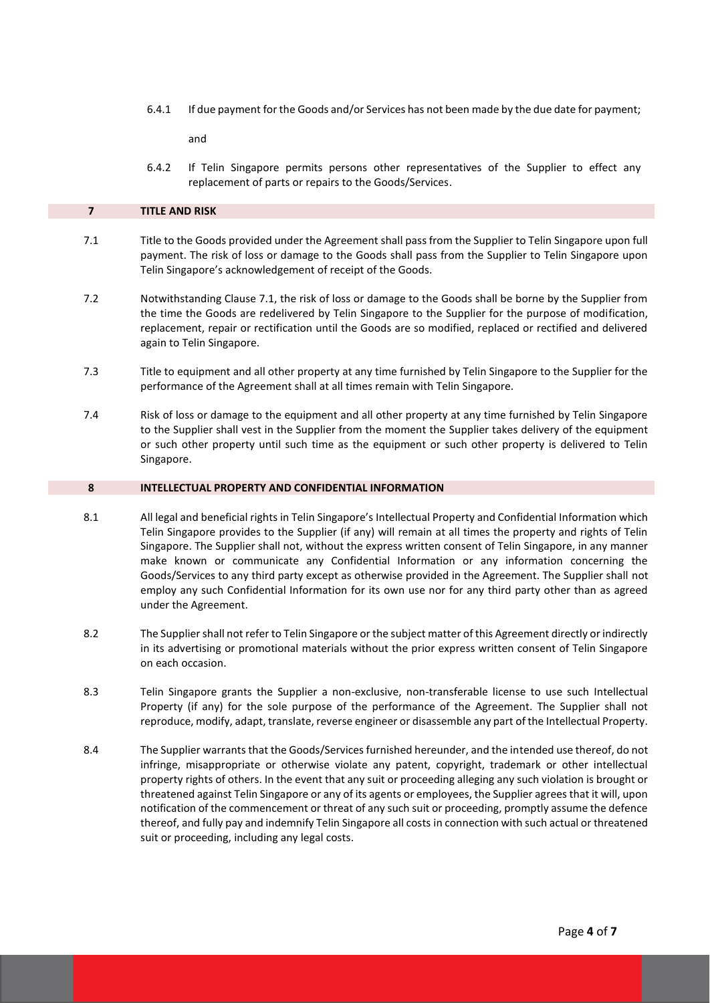6.4.1 If due payment for the Goods and/or Services has not been made by the due date for payment;

and

6.4.2 If Telin Singapore permits persons other representatives of the Supplier to effect any replacement of parts or repairs to the Goods/Services.

## **7 TITLE AND RISK**

- 7.1 Title to the Goods provided under the Agreement shall pass from the Supplier to Telin Singapore upon full payment. The risk of loss or damage to the Goods shall pass from the Supplier to Telin Singapore upon Telin Singapore's acknowledgement of receipt of the Goods.
- 7.2 Notwithstanding Clause 7.1, the risk of loss or damage to the Goods shall be borne by the Supplier from the time the Goods are redelivered by Telin Singapore to the Supplier for the purpose of modification, replacement, repair or rectification until the Goods are so modified, replaced or rectified and delivered again to Telin Singapore.
- 7.3 Title to equipment and all other property at any time furnished by Telin Singapore to the Supplier for the performance of the Agreement shall at all times remain with Telin Singapore.
- 7.4 Risk of loss or damage to the equipment and all other property at any time furnished by Telin Singapore to the Supplier shall vest in the Supplier from the moment the Supplier takes delivery of the equipment or such other property until such time as the equipment or such other property is delivered to Telin Singapore.

## **8 INTELLECTUAL PROPERTY AND CONFIDENTIAL INFORMATION**

- 8.1 All legal and beneficial rights in Telin Singapore's Intellectual Property and Confidential Information which Telin Singapore provides to the Supplier (if any) will remain at all times the property and rights of Telin Singapore. The Supplier shall not, without the express written consent of Telin Singapore, in any manner make known or communicate any Confidential Information or any information concerning the Goods/Services to any third party except as otherwise provided in the Agreement. The Supplier shall not employ any such Confidential Information for its own use nor for any third party other than as agreed under the Agreement.
- 8.2 The Supplier shall not refer to Telin Singapore or the subject matter of this Agreement directly or indirectly in its advertising or promotional materials without the prior express written consent of Telin Singapore on each occasion.
- 8.3 Telin Singapore grants the Supplier a non-exclusive, non-transferable license to use such Intellectual Property (if any) for the sole purpose of the performance of the Agreement. The Supplier shall not reproduce, modify, adapt, translate, reverse engineer or disassemble any part of the Intellectual Property.
- 8.4 The Supplier warrants that the Goods/Services furnished hereunder, and the intended use thereof, do not infringe, misappropriate or otherwise violate any patent, copyright, trademark or other intellectual property rights of others. In the event that any suit or proceeding alleging any such violation is brought or threatened against Telin Singapore or any of its agents or employees, the Supplier agrees that it will, upon notification of the commencement or threat of any such suit or proceeding, promptly assume the defence thereof, and fully pay and indemnify Telin Singapore all costs in connection with such actual or threatened suit or proceeding, including any legal costs.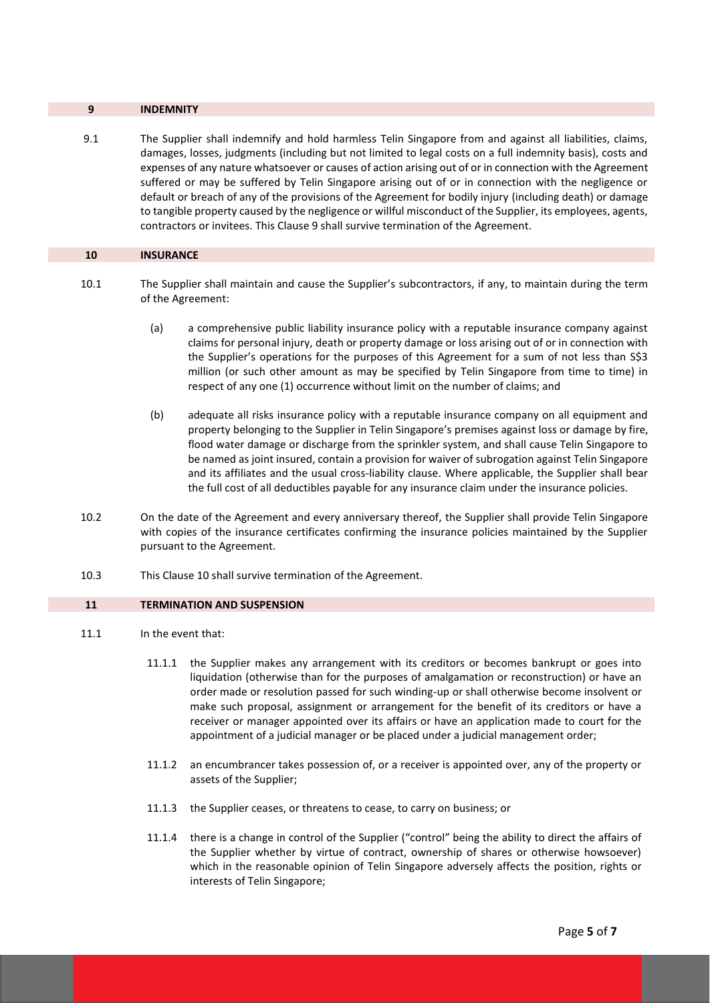#### **9 INDEMNITY**

9.1 The Supplier shall indemnify and hold harmless Telin Singapore from and against all liabilities, claims, damages, losses, judgments (including but not limited to legal costs on a full indemnity basis), costs and expenses of any nature whatsoever or causes of action arising out of or in connection with the Agreement suffered or may be suffered by Telin Singapore arising out of or in connection with the negligence or default or breach of any of the provisions of the Agreement for bodily injury (including death) or damage to tangible property caused by the negligence or willful misconduct of the Supplier, its employees, agents, contractors or invitees. This Clause 9 shall survive termination of the Agreement.

### **10 INSURANCE**

- 10.1 The Supplier shall maintain and cause the Supplier's subcontractors, if any, to maintain during the term of the Agreement:
	- (a) a comprehensive public liability insurance policy with a reputable insurance company against claims for personal injury, death or property damage or loss arising out of or in connection with the Supplier's operations for the purposes of this Agreement for a sum of not less than S\$3 million (or such other amount as may be specified by Telin Singapore from time to time) in respect of any one (1) occurrence without limit on the number of claims; and
	- (b) adequate all risks insurance policy with a reputable insurance company on all equipment and property belonging to the Supplier in Telin Singapore's premises against loss or damage by fire, flood water damage or discharge from the sprinkler system, and shall cause Telin Singapore to be named as joint insured, contain a provision for waiver of subrogation against Telin Singapore and its affiliates and the usual cross-liability clause. Where applicable, the Supplier shall bear the full cost of all deductibles payable for any insurance claim under the insurance policies.
- 10.2 On the date of the Agreement and every anniversary thereof, the Supplier shall provide Telin Singapore with copies of the insurance certificates confirming the insurance policies maintained by the Supplier pursuant to the Agreement.
- 10.3 This Clause 10 shall survive termination of the Agreement.

#### **11 TERMINATION AND SUSPENSION**

- 11.1 In the event that:
	- 11.1.1 the Supplier makes any arrangement with its creditors or becomes bankrupt or goes into liquidation (otherwise than for the purposes of amalgamation or reconstruction) or have an order made or resolution passed for such winding-up or shall otherwise become insolvent or make such proposal, assignment or arrangement for the benefit of its creditors or have a receiver or manager appointed over its affairs or have an application made to court for the appointment of a judicial manager or be placed under a judicial management order;
	- 11.1.2 an encumbrancer takes possession of, or a receiver is appointed over, any of the property or assets of the Supplier;
	- 11.1.3 the Supplier ceases, or threatens to cease, to carry on business; or
	- 11.1.4 there is a change in control of the Supplier ("control" being the ability to direct the affairs of the Supplier whether by virtue of contract, ownership of shares or otherwise howsoever) which in the reasonable opinion of Telin Singapore adversely affects the position, rights or interests of Telin Singapore;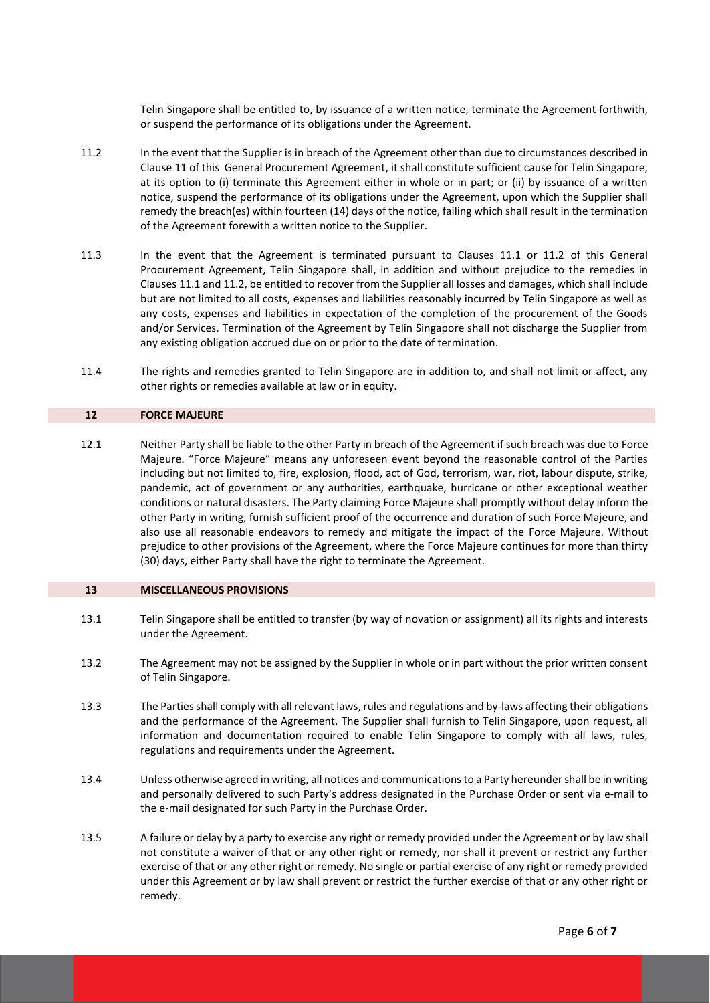Telin Singapore shall be entitled to, by issuance of a written notice, terminate the Agreement forthwith, or suspend the performance of its obligations under the Agreement.

- 11.2 In the event that the Supplier is in breach of the Agreement other than due to circumstances described in Clause 11 of this General Procurement Agreement, it shall constitute sufficient cause for Telin Singapore, at its option to (i) terminate this Agreement either in whole or in part; or (ii) by issuance of a written notice, suspend the performance of its obligations under the Agreement, upon which the Supplier shall remedy the breach(es) within fourteen (14) days of the notice, failing which shall result in the termination of the Agreement forewith a written notice to the Supplier.
- 11.3 In the event that the Agreement is terminated pursuant to Clauses 11.1 or 11.2 of this General Procurement Agreement, Telin Singapore shall, in addition and without prejudice to the remedies in Clauses 11.1 and 11.2, be entitled to recover from the Supplier all losses and damages, which shall include but are not limited to all costs, expenses and liabilities reasonably incurred by Telin Singapore as well as any costs, expenses and liabilities in expectation of the completion of the procurement of the Goods and/or Services. Termination of the Agreement by Telin Singapore shall not discharge the Supplier from any existing obligation accrued due on or prior to the date of termination.
- 11.4 The rights and remedies granted to Telin Singapore are in addition to, and shall not limit or affect, any other rights or remedies available at law or in equity.

### **12 FORCE MAJEURE**

12.1 Neither Party shall be liable to the other Party in breach of the Agreement if such breach was due to Force Majeure. "Force Majeure" means any unforeseen event beyond the reasonable control of the Parties including but not limited to, fire, explosion, flood, act of God, terrorism, war, riot, labour dispute, strike, pandemic, act of government or any authorities, earthquake, hurricane or other exceptional weather conditions or natural disasters. The Party claiming Force Majeure shall promptly without delay inform the other Party in writing, furnish sufficient proof of the occurrence and duration of such Force Majeure, and also use all reasonable endeavors to remedy and mitigate the impact of the Force Majeure. Without prejudice to other provisions of the Agreement, where the Force Majeure continues for more than thirty (30) days, either Party shall have the right to terminate the Agreement.

### **13 MISCELLANEOUS PROVISIONS**

- 13.1 Telin Singapore shall be entitled to transfer (by way of novation or assignment) all its rights and interests under the Agreement.
- 13.2 The Agreement may not be assigned by the Supplier in whole or in part without the prior written consent of Telin Singapore.
- 13.3 The Parties shall comply with all relevant laws, rules and regulations and by-laws affecting their obligations and the performance of the Agreement. The Supplier shall furnish to Telin Singapore, upon request, all information and documentation required to enable Telin Singapore to comply with all laws, rules, regulations and requirements under the Agreement.
- 13.4 Unless otherwise agreed in writing, all notices and communications to a Party hereunder shall be in writing and personally delivered to such Party's address designated in the Purchase Order or sent via e-mail to the e-mail designated for such Party in the Purchase Order.
- 13.5 A failure or delay by a party to exercise any right or remedy provided under the Agreement or by law shall not constitute a waiver of that or any other right or remedy, nor shall it prevent or restrict any further exercise of that or any other right or remedy. No single or partial exercise of any right or remedy provided under this Agreement or by law shall prevent or restrict the further exercise of that or any other right or remedy.